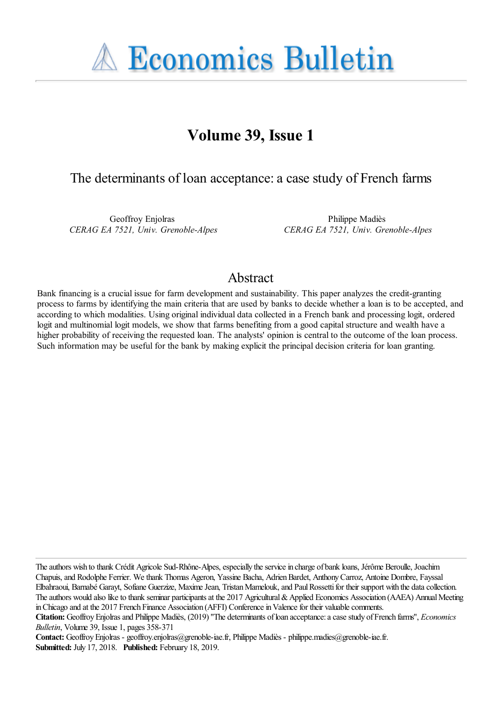**A Economics Bulletin** 

# **Volume 39, Issue 1**

## The determinants of loan acceptance: a case study of French farms

Geoffroy Enjolras *CERAG EA 7521, Univ. Grenoble-Alpes*

Philippe Madiès *CERAG EA 7521, Univ. Grenoble-Alpes*

## Abstract

Bank financing is a crucial issue for farm development and sustainability. This paper analyzes the credit-granting process to farms by identifying the main criteria that are used by banks to decide whether a loan is to be accepted, and according to which modalities. Using original individual data collected in a French bank and processing logit, ordered logit and multinomial logit models, we show that farms benefiting from a good capital structure and wealth have a higher probability of receiving the requested loan. The analysts' opinion is central to the outcome of the loan process. Such information may be useful for the bank by making explicit the principal decision criteria for loan granting.

The authors wish to thank Crédit Agricole Sud-Rhône-Alpes, especially the service in charge of bank loans, Jérôme Beroulle, Joachim Chapuis, and Rodolphe Ferrier. We thank Thomas Ageron, Yassine Bacha, Adrien Bardet, Anthony Carroz, Antoine Dombre, Fayssal Elbahraoui, Barnabé Garayt, Sofiane Guerzize, Maxime Jean, Tristan Mamelouk, and Paul Rossetti for their support with the data collection. The authors would also like to thank seminar participants at the 2017 Agricultural & Applied Economics Association (AAEA) Annual Meeting in Chicago and at the 2017 French Finance Association (AFFI) Conference in Valence for their valuable comments.

**Contact:** Geoffroy Enjolras - geoffroy.enjolras@grenoble-iae.fr, Philippe Madiès - philippe.madies@grenoble-iae.fr. **Submitted:** July 17, 2018. **Published:** February 18, 2019.

**Citation:** Geoffroy Enjolras and Philippe Madiès, (2019) ''The determinants of loan acceptance: a case study of French farms'', *Economics Bulletin*, Volume 39, Issue 1, pages 358-371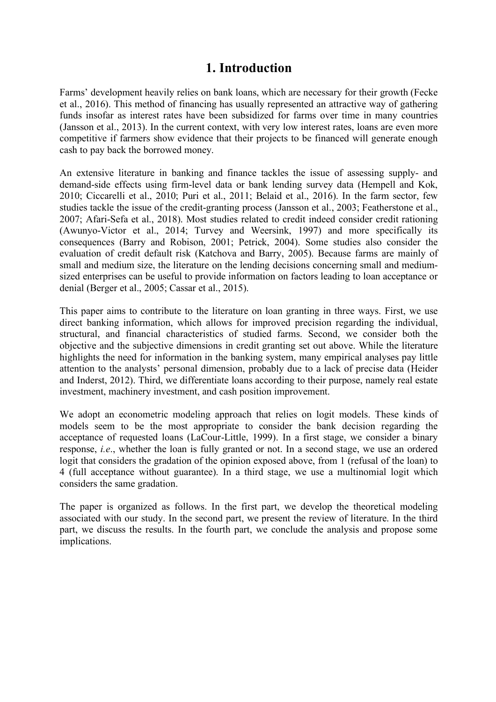## **1. Introduction**

Farms' development heavily relies on bank loans, which are necessary for their growth (Fecke et al., 2016). This method of financing has usually represented an attractive way of gathering funds insofar as interest rates have been subsidized for farms over time in many countries (Jansson et al., 2013). In the current context, with very low interest rates, loans are even more competitive if farmers show evidence that their projects to be financed will generate enough cash to pay back the borrowed money.

An extensive literature in banking and finance tackles the issue of assessing supply- and demand-side effects using firm-level data or bank lending survey data (Hempell and Kok, 2010; Ciccarelli et al., 2010; Puri et al., 2011; Belaid et al., 2016). In the farm sector, few studies tackle the issue of the credit-granting process (Jansson et al., 2003; Featherstone et al., 2007; Afari-Sefa et al., 2018). Most studies related to credit indeed consider credit rationing (Awunyo-Victor et al., 2014; Turvey and Weersink, 1997) and more specifically its consequences (Barry and Robison, 2001; Petrick, 2004). Some studies also consider the evaluation of credit default risk (Katchova and Barry, 2005). Because farms are mainly of small and medium size, the literature on the lending decisions concerning small and mediumsized enterprises can be useful to provide information on factors leading to loan acceptance or denial (Berger et al., 2005; Cassar et al., 2015).

This paper aims to contribute to the literature on loan granting in three ways. First, we use direct banking information, which allows for improved precision regarding the individual, structural, and financial characteristics of studied farms. Second, we consider both the objective and the subjective dimensions in credit granting set out above. While the literature highlights the need for information in the banking system, many empirical analyses pay little attention to the analysts' personal dimension, probably due to a lack of precise data (Heider and Inderst, 2012). Third, we differentiate loans according to their purpose, namely real estate investment, machinery investment, and cash position improvement.

We adopt an econometric modeling approach that relies on logit models. These kinds of models seem to be the most appropriate to consider the bank decision regarding the acceptance of requested loans (LaCour-Little, 1999). In a first stage, we consider a binary response, *i.e*., whether the loan is fully granted or not. In a second stage, we use an ordered logit that considers the gradation of the opinion exposed above, from 1 (refusal of the loan) to 4 (full acceptance without guarantee). In a third stage, we use a multinomial logit which considers the same gradation.

The paper is organized as follows. In the first part, we develop the theoretical modeling associated with our study. In the second part, we present the review of literature. In the third part, we discuss the results. In the fourth part, we conclude the analysis and propose some implications.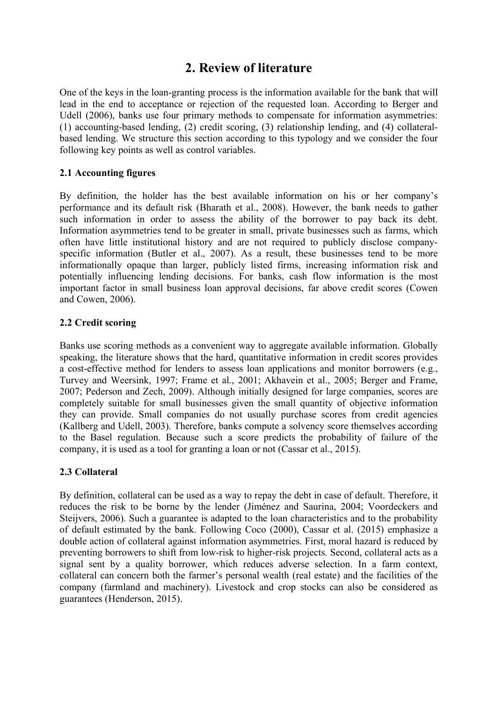## **2. Review of literature**

One of the keys in the loan-granting process is the information available for the bank that will lead in the end to acceptance or rejection of the requested loan. According to Berger and Udell (2006), banks use four primary methods to compensate for information asymmetries: (1) accounting-based lending, (2) credit scoring, (3) relationship lending, and (4) collateralbased lending. We structure this section according to this typology and we consider the four following key points as well as control variables.

### **2.1 Accounting figures**

By definition, the holder has the best available information on his or her company's performance and its default risk (Bharath et al., 2008). However, the bank needs to gather such information in order to assess the ability of the borrower to pay back its debt. Information asymmetries tend to be greater in small, private businesses such as farms, which often have little institutional history and are not required to publicly disclose companyspecific information (Butler et al., 2007). As a result, these businesses tend to be more informationally opaque than larger, publicly listed firms, increasing information risk and potentially influencing lending decisions. For banks, cash flow information is the most important factor in small business loan approval decisions, far above credit scores (Cowen and Cowen, 2006).

### **2.2 Credit scoring**

Banks use scoring methods as a convenient way to aggregate available information. Globally speaking, the literature shows that the hard, quantitative information in credit scores provides a cost-effective method for lenders to assess loan applications and monitor borrowers (e.g., Turvey and Weersink, 1997; Frame et al., 2001; Akhavein et al., 2005; Berger and Frame, 2007; Pederson and Zech, 2009). Although initially designed for large companies, scores are completely suitable for small businesses given the small quantity of objective information they can provide. Small companies do not usually purchase scores from credit agencies (Kallberg and Udell, 2003). Therefore, banks compute a solvency score themselves according to the Basel regulation. Because such a score predicts the probability of failure of the company, it is used as a tool for granting a loan or not (Cassar et al., 2015).

### **2.3 Collateral**

By definition, collateral can be used as a way to repay the debt in case of default. Therefore, it reduces the risk to be borne by the lender (Jiménez and Saurina, 2004; Voordeckers and Steijvers, 2006). Such a guarantee is adapted to the loan characteristics and to the probability of default estimated by the bank. Following Coco (2000), Cassar et al. (2015) emphasize a double action of collateral against information asymmetries. First, moral hazard is reduced by preventing borrowers to shift from low-risk to higher-risk projects. Second, collateral acts as a signal sent by a quality borrower, which reduces adverse selection. In a farm context, collateral can concern both the farmer's personal wealth (real estate) and the facilities of the company (farmland and machinery). Livestock and crop stocks can also be considered as guarantees (Henderson, 2015).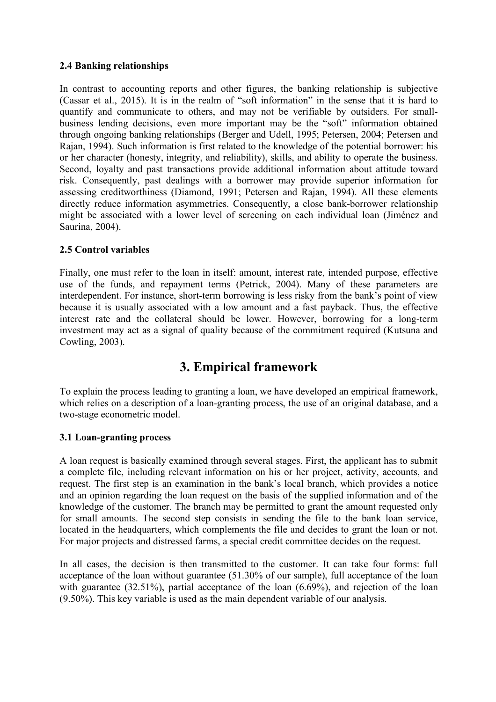#### **2.4 Banking relationships**

In contrast to accounting reports and other figures, the banking relationship is subjective (Cassar et al., 2015). It is in the realm of "soft information" in the sense that it is hard to quantify and communicate to others, and may not be verifiable by outsiders. For smallbusiness lending decisions, even more important may be the "soft" information obtained through ongoing banking relationships (Berger and Udell, 1995; Petersen, 2004; Petersen and Rajan, 1994). Such information is first related to the knowledge of the potential borrower: his or her character (honesty, integrity, and reliability), skills, and ability to operate the business. Second, loyalty and past transactions provide additional information about attitude toward risk. Consequently, past dealings with a borrower may provide superior information for assessing creditworthiness (Diamond, 1991; Petersen and Rajan, 1994). All these elements directly reduce information asymmetries. Consequently, a close bank-borrower relationship might be associated with a lower level of screening on each individual loan (Jiménez and Saurina, 2004).

### **2.5 Control variables**

Finally, one must refer to the loan in itself: amount, interest rate, intended purpose, effective use of the funds, and repayment terms (Petrick, 2004). Many of these parameters are interdependent. For instance, short-term borrowing is less risky from the bank's point of view because it is usually associated with a low amount and a fast payback. Thus, the effective interest rate and the collateral should be lower. However, borrowing for a long-term investment may act as a signal of quality because of the commitment required (Kutsuna and Cowling, 2003).

## **3. Empirical framework**

To explain the process leading to granting a loan, we have developed an empirical framework, which relies on a description of a loan-granting process, the use of an original database, and a two-stage econometric model.

### **3.1 Loan-granting process**

A loan request is basically examined through several stages. First, the applicant has to submit a complete file, including relevant information on his or her project, activity, accounts, and request. The first step is an examination in the bank's local branch, which provides a notice and an opinion regarding the loan request on the basis of the supplied information and of the knowledge of the customer. The branch may be permitted to grant the amount requested only for small amounts. The second step consists in sending the file to the bank loan service, located in the headquarters, which complements the file and decides to grant the loan or not. For major projects and distressed farms, a special credit committee decides on the request.

In all cases, the decision is then transmitted to the customer. It can take four forms: full acceptance of the loan without guarantee (51.30% of our sample), full acceptance of the loan with guarantee (32.51%), partial acceptance of the loan (6.69%), and rejection of the loan (9.50%). This key variable is used as the main dependent variable of our analysis.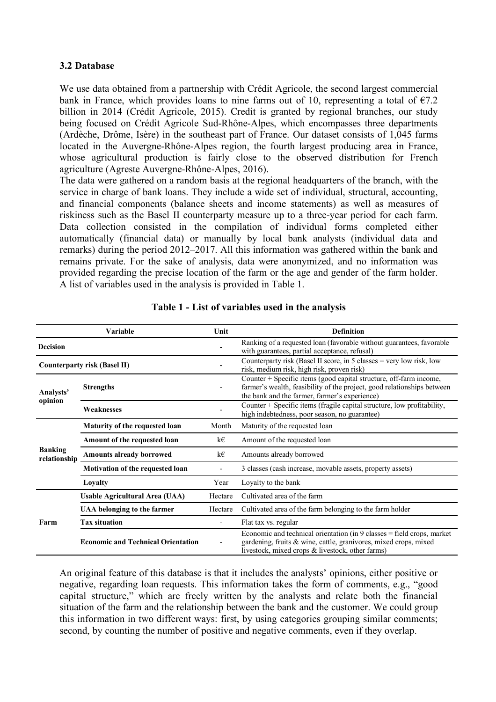#### **3.2 Database**

We use data obtained from a partnership with Crédit Agricole, the second largest commercial bank in France, which provides loans to nine farms out of 10, representing a total of  $\epsilon$ 7.2 billion in 2014 (Crédit Agricole, 2015). Credit is granted by regional branches, our study being focused on Crédit Agricole Sud-Rhône-Alpes, which encompasses three departments (Ardèche, Drôme, Isère) in the southeast part of France. Our dataset consists of 1,045 farms located in the Auvergne-Rhône-Alpes region, the fourth largest producing area in France, whose agricultural production is fairly close to the observed distribution for French agriculture (Agreste Auvergne-Rhône-Alpes, 2016).

The data were gathered on a random basis at the regional headquarters of the branch, with the service in charge of bank loans. They include a wide set of individual, structural, accounting, and financial components (balance sheets and income statements) as well as measures of riskiness such as the Basel II counterparty measure up to a three-year period for each farm. Data collection consisted in the compilation of individual forms completed either automatically (financial data) or manually by local bank analysts (individual data and remarks) during the period 2012–2017. All this information was gathered within the bank and remains private. For the sake of analysis, data were anonymized, and no information was provided regarding the precise location of the farm or the age and gender of the farm holder. A list of variables used in the analysis is provided in Table 1.

|                                | Variable                                  | Unit    | <b>Definition</b>                                                                                                                                                                                |
|--------------------------------|-------------------------------------------|---------|--------------------------------------------------------------------------------------------------------------------------------------------------------------------------------------------------|
| <b>Decision</b>                |                                           |         | Ranking of a requested loan (favorable without guarantees, favorable<br>with guarantees, partial acceptance, refusal)                                                                            |
|                                | <b>Counterparty risk (Basel II)</b>       |         | Counterparty risk (Basel II score, in 5 classes $=$ very low risk, low<br>risk, medium risk, high risk, proven risk)                                                                             |
| Analysts'<br>opinion           | <b>Strengths</b>                          |         | Counter + Specific items (good capital structure, off-farm income,<br>farmer's wealth, feasibility of the project, good relationships between<br>the bank and the farmer, farmer's experience)   |
|                                | Weaknesses                                |         | Counter + Specific items (fragile capital structure, low profitability,<br>high indebtedness, poor season, no guarantee)                                                                         |
| <b>Banking</b><br>relationship | <b>Maturity of the requested loan</b>     | Month   | Maturity of the requested loan                                                                                                                                                                   |
|                                | Amount of the requested loan              | k€      | Amount of the requested loan                                                                                                                                                                     |
|                                | <b>Amounts already borrowed</b><br>k€     |         | Amounts already borrowed                                                                                                                                                                         |
|                                | Motivation of the requested loan          |         | 3 classes (cash increase, movable assets, property assets)                                                                                                                                       |
|                                | Loyalty                                   | Year    | Loyalty to the bank                                                                                                                                                                              |
|                                | <b>Usable Agricultural Area (UAA)</b>     | Hectare | Cultivated area of the farm                                                                                                                                                                      |
| Farm                           | UAA belonging to the farmer               | Hectare | Cultivated area of the farm belonging to the farm holder                                                                                                                                         |
|                                | <b>Tax situation</b>                      | ۰       | Flat tax vs. regular                                                                                                                                                                             |
|                                | <b>Economic and Technical Orientation</b> |         | Economic and technical orientation (in $9$ classes = field crops, market<br>gardening, fruits & wine, cattle, granivores, mixed crops, mixed<br>livestock, mixed crops & livestock, other farms) |

#### **Table 1 - List of variables used in the analysis**

An original feature of this database is that it includes the analysts' opinions, either positive or negative, regarding loan requests. This information takes the form of comments, e.g., "good capital structure," which are freely written by the analysts and relate both the financial situation of the farm and the relationship between the bank and the customer. We could group this information in two different ways: first, by using categories grouping similar comments; second, by counting the number of positive and negative comments, even if they overlap.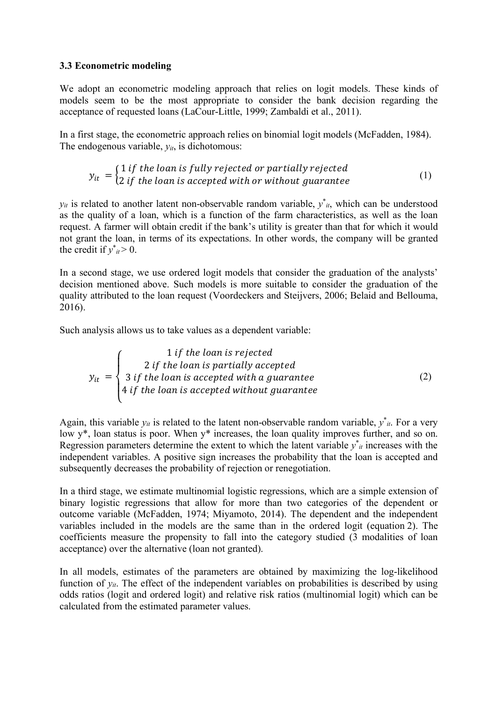#### **3.3 Econometric modeling**

We adopt an econometric modeling approach that relies on logit models. These kinds of models seem to be the most appropriate to consider the bank decision regarding the acceptance of requested loans (LaCour-Little, 1999; Zambaldi et al., 2011).

In a first stage, the econometric approach relies on binomial logit models (McFadden, 1984). The endogenous variable,  $y_{it}$ , is dichotomous:

$$
y_{it} = \begin{cases} 1 \text{ if the loan is fully rejected or partially rejected} \\ 2 \text{ if the loan is accepted with or without guarantee} \end{cases} \tag{1}
$$

 $y_{it}$  is related to another latent non-observable random variable,  $y^*_{it}$ , which can be understood as the quality of a loan, which is a function of the farm characteristics, as well as the loan request. A farmer will obtain credit if the bank's utility is greater than that for which it would not grant the loan, in terms of its expectations. In other words, the company will be granted the credit if  $y^*_{it} > 0$ .

In a second stage, we use ordered logit models that consider the graduation of the analysts' decision mentioned above. Such models is more suitable to consider the graduation of the quality attributed to the loan request (Voordeckers and Steijvers, 2006; Belaid and Bellouma, 2016).

Such analysis allows us to take values as a dependent variable:

$$
y_{it} = \begin{cases} 1 & \text{if the loan is rejected} \\ 2 & \text{if the loan is partially accepted} \\ 3 & \text{if the loan is accepted with a guarantee} \\ 4 & \text{if the loan is accepted without guarantee} \end{cases} \tag{2}
$$

Again, this variable  $y_{it}$  is related to the latent non-observable random variable,  $y_{it}^*$ . For a very low y\*, loan status is poor. When y\* increases, the loan quality improves further, and so on. Regression parameters determine the extent to which the latent variable  $y^*_{it}$  increases with the independent variables. A positive sign increases the probability that the loan is accepted and subsequently decreases the probability of rejection or renegotiation.

In a third stage, we estimate multinomial logistic regressions, which are a simple extension of binary logistic regressions that allow for more than two categories of the dependent or outcome variable (McFadden, 1974; Miyamoto, 2014). The dependent and the independent variables included in the models are the same than in the ordered logit (equation 2). The coefficients measure the propensity to fall into the category studied (3 modalities of loan acceptance) over the alternative (loan not granted).

In all models, estimates of the parameters are obtained by maximizing the log-likelihood function of  $y_{it}$ . The effect of the independent variables on probabilities is described by using odds ratios (logit and ordered logit) and relative risk ratios (multinomial logit) which can be calculated from the estimated parameter values.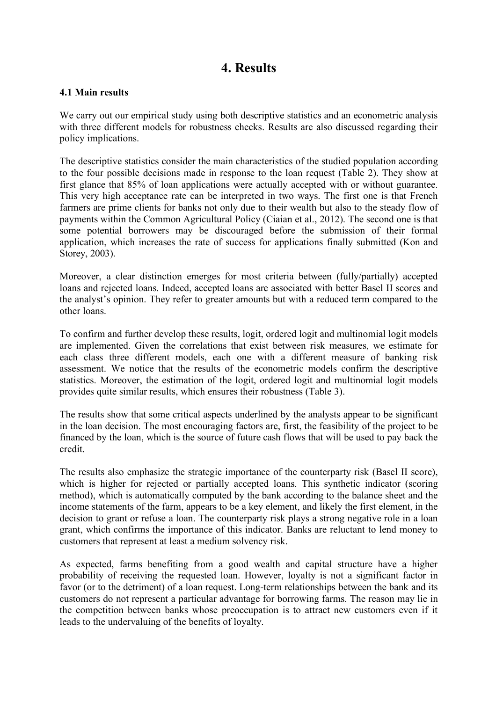## **4. Results**

#### **4.1 Main results**

We carry out our empirical study using both descriptive statistics and an econometric analysis with three different models for robustness checks. Results are also discussed regarding their policy implications.

The descriptive statistics consider the main characteristics of the studied population according to the four possible decisions made in response to the loan request (Table 2). They show at first glance that 85% of loan applications were actually accepted with or without guarantee. This very high acceptance rate can be interpreted in two ways. The first one is that French farmers are prime clients for banks not only due to their wealth but also to the steady flow of payments within the Common Agricultural Policy (Ciaian et al., 2012). The second one is that some potential borrowers may be discouraged before the submission of their formal application, which increases the rate of success for applications finally submitted (Kon and Storey, 2003).

Moreover, a clear distinction emerges for most criteria between (fully/partially) accepted loans and rejected loans. Indeed, accepted loans are associated with better Basel II scores and the analyst's opinion. They refer to greater amounts but with a reduced term compared to the other loans.

To confirm and further develop these results, logit, ordered logit and multinomial logit models are implemented. Given the correlations that exist between risk measures, we estimate for each class three different models, each one with a different measure of banking risk assessment. We notice that the results of the econometric models confirm the descriptive statistics. Moreover, the estimation of the logit, ordered logit and multinomial logit models provides quite similar results, which ensures their robustness (Table 3).

The results show that some critical aspects underlined by the analysts appear to be significant in the loan decision. The most encouraging factors are, first, the feasibility of the project to be financed by the loan, which is the source of future cash flows that will be used to pay back the credit.

The results also emphasize the strategic importance of the counterparty risk (Basel II score), which is higher for rejected or partially accepted loans. This synthetic indicator (scoring method), which is automatically computed by the bank according to the balance sheet and the income statements of the farm, appears to be a key element, and likely the first element, in the decision to grant or refuse a loan. The counterparty risk plays a strong negative role in a loan grant, which confirms the importance of this indicator. Banks are reluctant to lend money to customers that represent at least a medium solvency risk.

As expected, farms benefiting from a good wealth and capital structure have a higher probability of receiving the requested loan. However, loyalty is not a significant factor in favor (or to the detriment) of a loan request. Long-term relationships between the bank and its customers do not represent a particular advantage for borrowing farms. The reason may lie in the competition between banks whose preoccupation is to attract new customers even if it leads to the undervaluing of the benefits of loyalty.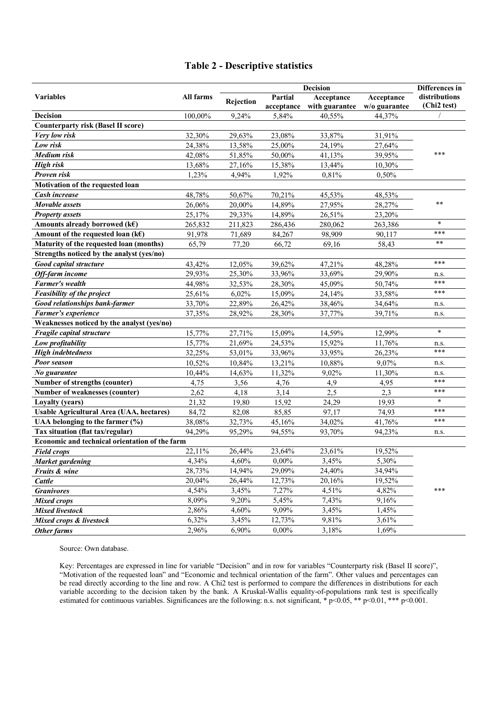#### **Table 2 - Descriptive statistics**

|                                                 | All farms |           | Differences in |                |               |                              |  |  |  |
|-------------------------------------------------|-----------|-----------|----------------|----------------|---------------|------------------------------|--|--|--|
| <b>Variables</b>                                |           | Rejection | Partial        | Acceptance     | Acceptance    | distributions<br>(Chi2 test) |  |  |  |
|                                                 |           |           | acceptance     | with guarantee | w/o guarantee |                              |  |  |  |
| <b>Decision</b>                                 | 100,00%   | 9,24%     | 5,84%          | 40,55%         | 44,37%        |                              |  |  |  |
| <b>Counterparty risk (Basel II score)</b>       |           |           |                |                |               |                              |  |  |  |
| Very low risk                                   | 32,30%    | 29,63%    | 23,08%         | 33,87%         | 31,91%        |                              |  |  |  |
| Low risk                                        | 24,38%    | 13,58%    | 25,00%         | 24,19%         | 27,64%        |                              |  |  |  |
| Medium risk                                     | 42,08%    | 51,85%    | 50,00%         | 41,13%         | 39,95%        | ***                          |  |  |  |
| <b>High risk</b>                                | 13,68%    | 27,16%    | 15,38%         | 13,44%         | 10,30%        |                              |  |  |  |
| Proven risk                                     | 1,23%     | 4,94%     | 1,92%          | 0,81%          | 0,50%         |                              |  |  |  |
| Motivation of the requested loan                |           |           |                |                |               |                              |  |  |  |
| Cash increase                                   | 48,78%    | 50,67%    | 70,21%         | 45,53%         | 48,53%        |                              |  |  |  |
| Movable assets                                  | 26,06%    | 20,00%    | 14,89%         | 27,95%         | 28,27%        | $**$                         |  |  |  |
| <b>Property assets</b>                          | 25,17%    | 29,33%    | 14,89%         | 26,51%         | 23,20%        |                              |  |  |  |
| Amounts already borrowed (k $\epsilon$ )        | 265,832   | 211,823   | 286,436        | 280,062        | 263,386       | $\star$                      |  |  |  |
| Amount of the requested loan ( $k\epsilon$ )    | 91,978    | 71,689    | 84,267         | 98,909         | 90,117        | ***                          |  |  |  |
| Maturity of the requested loan (months)         | 65,79     | 77,20     | 66,72          | 69,16          | 58,43         | $**$                         |  |  |  |
| Strengths noticed by the analyst (yes/no)       |           |           |                |                |               |                              |  |  |  |
| Good capital structure                          | 43,42%    | 12,05%    | 39,62%         | 47,21%         | 48,28%        | ***                          |  |  |  |
| Off-farm income                                 | 29,93%    | 25,30%    | 33,96%         | 33,69%         | 29,90%        | n.s.                         |  |  |  |
| Farmer's wealth                                 | 44,98%    | 32,53%    | 28,30%         | 45,09%         | 50,74%        | ***                          |  |  |  |
| <b>Feasibility of the project</b>               | 25,61%    | 6,02%     | 15,09%         | 24,14%         | 33,58%        | ***                          |  |  |  |
| <b>Good relationships bank-farmer</b>           | 33,70%    | 22,89%    | 26,42%         | 38,46%         | 34,64%        | n.s.                         |  |  |  |
| Farmer's experience                             | 37,35%    | 28,92%    | 28,30%         | 37,77%         | 39,71%        | n.s.                         |  |  |  |
| Weaknesses noticed by the analyst (yes/no)      |           |           |                |                |               |                              |  |  |  |
| Fragile capital structure                       | 15,77%    | 27,71%    | 15,09%         | 14,59%         | 12,99%        | $\star$                      |  |  |  |
| Low profitability                               | 15,77%    | 21,69%    | 24,53%         | 15,92%         | 11,76%        | n.s.                         |  |  |  |
| <b>High indebtedness</b>                        | 32,25%    | 53,01%    | 33,96%         | 33,95%         | 26,23%        | ***                          |  |  |  |
| Poor season                                     | 10,52%    | 10,84%    | 13,21%         | 10,88%         | 9,07%         | n.s.                         |  |  |  |
| No guarantee                                    | 10,44%    | 14,63%    | 11,32%         | 9,02%          | 11,30%        | n.s.                         |  |  |  |
| Number of strengths (counter)                   | 4,75      | 3,56      | 4,76           | 4,9            | 4,95          | ***                          |  |  |  |
| Number of weaknesses (counter)                  | 2,62      | 4,18      | 3,14           | 2,5            | 2,3           | ***                          |  |  |  |
| <b>Loyalty (years)</b>                          | 21,32     | 19,80     | 15,92          | 24,29          | 19,93         | $\star$                      |  |  |  |
| <b>Usable Agricultural Area (UAA, hectares)</b> | 84,72     | 82,08     | 85,85          | 97,17          | 74,93         | ***                          |  |  |  |
| UAA belonging to the farmer (%)                 | 38,08%    | 32,73%    | 45,16%         | 34,02%         | 41,76%        | ***                          |  |  |  |
| Tax situation (flat tax/regular)                | 94,29%    | 95,29%    | 94,55%         | 93,70%         | 94,23%        | n.s.                         |  |  |  |
| Economic and technical orientation of the farm  |           |           |                |                |               |                              |  |  |  |
| <b>Field crops</b>                              | 22,11%    | 26,44%    | 23,64%         | 23,61%         | 19,52%        |                              |  |  |  |
| <b>Market gardening</b>                         | 4,34%     | 4,60%     | $0,00\%$       | 3,45%          | 5,30%         |                              |  |  |  |
| Fruits & wine                                   | 28,73%    | 14,94%    | 29,09%         | 24,40%         | 34,94%        |                              |  |  |  |
| Cattle                                          | 20,04%    | 26,44%    | 12,73%         | 20,16%         | 19,52%        |                              |  |  |  |
| <b>Granivores</b>                               | 4,54%     | 3,45%     | 7,27%          | 4,51%          | 4,82%         | ***                          |  |  |  |
| <b>Mixed crops</b>                              | 8,09%     | 9,20%     | 5,45%          | 7,43%          | 9,16%         |                              |  |  |  |
| <b>Mixed livestock</b>                          | 2,86%     | 4,60%     | 9,09%          | 3,45%          | 1,45%         |                              |  |  |  |
| Mixed crops & livestock                         | 6,32%     | 3,45%     | 12,73%         | 9,81%          | 3,61%         |                              |  |  |  |
| Other farms                                     | 2,96%     | 6,90%     | $0,00\%$       | 3,18%          | 1,69%         |                              |  |  |  |

Source: Own database.

Key: Percentages are expressed in line for variable "Decision" and in row for variables "Counterparty risk (Basel II score)", "Motivation of the requested loan" and "Economic and technical orientation of the farm". Other values and percentages can be read directly according to the line and row. A Chi2 test is performed to compare the differences in distributions for each variable according to the decision taken by the bank. A Kruskal-Wallis equality-of-populations rank test is specifically estimated for continuous variables. Significances are the following: n.s. not significant,  $*$  p<0.05,  $**$  p<0.01,  $***$  p<0.001.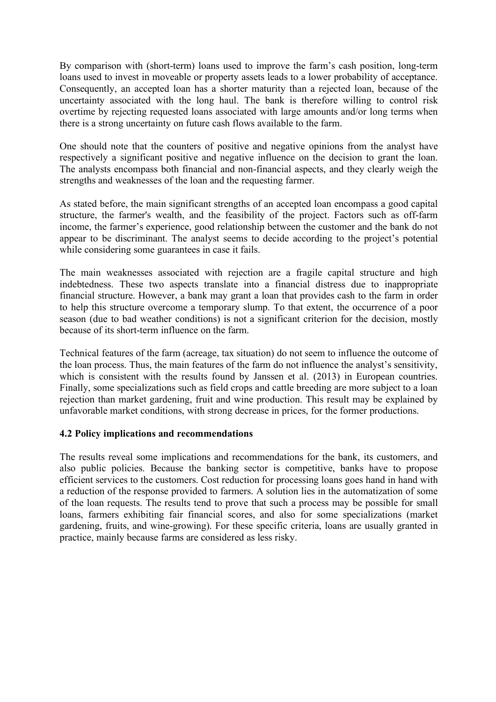By comparison with (short-term) loans used to improve the farm's cash position, long-term loans used to invest in moveable or property assets leads to a lower probability of acceptance. Consequently, an accepted loan has a shorter maturity than a rejected loan, because of the uncertainty associated with the long haul. The bank is therefore willing to control risk overtime by rejecting requested loans associated with large amounts and/or long terms when there is a strong uncertainty on future cash flows available to the farm.

One should note that the counters of positive and negative opinions from the analyst have respectively a significant positive and negative influence on the decision to grant the loan. The analysts encompass both financial and non-financial aspects, and they clearly weigh the strengths and weaknesses of the loan and the requesting farmer.

As stated before, the main significant strengths of an accepted loan encompass a good capital structure, the farmer's wealth, and the feasibility of the project. Factors such as off-farm income, the farmer's experience, good relationship between the customer and the bank do not appear to be discriminant. The analyst seems to decide according to the project's potential while considering some guarantees in case it fails.

The main weaknesses associated with rejection are a fragile capital structure and high indebtedness. These two aspects translate into a financial distress due to inappropriate financial structure. However, a bank may grant a loan that provides cash to the farm in order to help this structure overcome a temporary slump. To that extent, the occurrence of a poor season (due to bad weather conditions) is not a significant criterion for the decision, mostly because of its short-term influence on the farm.

Technical features of the farm (acreage, tax situation) do not seem to influence the outcome of the loan process. Thus, the main features of the farm do not influence the analyst's sensitivity, which is consistent with the results found by Janssen et al. (2013) in European countries. Finally, some specializations such as field crops and cattle breeding are more subject to a loan rejection than market gardening, fruit and wine production. This result may be explained by unfavorable market conditions, with strong decrease in prices, for the former productions.

### **4.2 Policy implications and recommendations**

The results reveal some implications and recommendations for the bank, its customers, and also public policies. Because the banking sector is competitive, banks have to propose efficient services to the customers. Cost reduction for processing loans goes hand in hand with a reduction of the response provided to farmers. A solution lies in the automatization of some of the loan requests. The results tend to prove that such a process may be possible for small loans, farmers exhibiting fair financial scores, and also for some specializations (market gardening, fruits, and wine-growing). For these specific criteria, loans are usually granted in practice, mainly because farms are considered as less risky.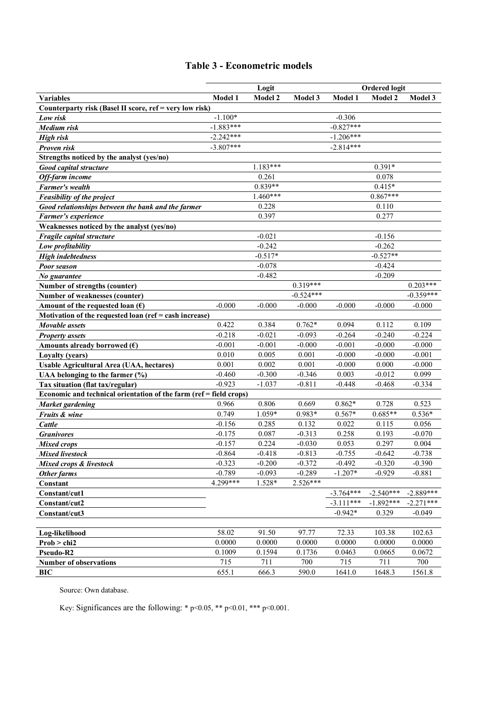### **Table 3 - Econometric models**

|                                                                    | Logit          |                 |                   | <b>Ordered logit</b> |                    |                   |  |
|--------------------------------------------------------------------|----------------|-----------------|-------------------|----------------------|--------------------|-------------------|--|
| <b>Variables</b>                                                   | <b>Model 1</b> | Model 2         | Model 3           | Model 1              | Model 2            | Model 3           |  |
| Counterparty risk (Basel II score, ref = very low risk)            |                |                 |                   |                      |                    |                   |  |
| Low risk                                                           | $-1.100*$      |                 |                   | $-0.306$             |                    |                   |  |
| Medium risk                                                        | $-1.883***$    |                 |                   | $-0.827***$          |                    |                   |  |
| <b>High risk</b>                                                   | $-2.242***$    |                 |                   | $-1.206***$          |                    |                   |  |
| Proven risk                                                        | $-3.807***$    |                 |                   | $-2.814***$          |                    |                   |  |
| Strengths noticed by the analyst (yes/no)                          |                |                 |                   |                      |                    |                   |  |
| Good capital structure                                             |                | $1.183***$      |                   |                      | $0.391*$           |                   |  |
| Off-farm income                                                    |                | 0.261           |                   |                      | 0.078              |                   |  |
| <b>Farmer's wealth</b>                                             |                | $0.839**$       |                   |                      | $0.415*$           |                   |  |
| <b>Feasibility of the project</b>                                  |                | $1.460***$      |                   |                      | $0.867***$         |                   |  |
| Good relationships between the bank and the farmer                 |                | 0.228           |                   |                      | 0.110              |                   |  |
| Farmer's experience                                                |                | 0.397           |                   |                      | 0.277              |                   |  |
| Weaknesses noticed by the analyst (yes/no)                         |                |                 |                   |                      |                    |                   |  |
| Fragile capital structure                                          |                | $-0.021$        |                   |                      | $-0.156$           |                   |  |
| Low profitability                                                  |                | $-0.242$        |                   |                      | $-0.262$           |                   |  |
| <b>High indebtedness</b>                                           |                | $-0.517*$       |                   |                      | $-0.527**$         |                   |  |
| Poor season                                                        |                | $-0.078$        |                   |                      | $-0.424$           |                   |  |
| No guarantee                                                       |                | $-0.482$        |                   |                      | $-0.209$           |                   |  |
| Number of strengths (counter)                                      |                |                 | $0.319***$        |                      |                    | $0.203***$        |  |
| <b>Number of weaknesses (counter)</b>                              |                |                 | $-0.524***$       |                      |                    | $-0.359***$       |  |
| Amount of the requested loan $(\epsilon)$                          | $-0.000$       | $-0.000$        | $-0.000$          | $-0.000$             | $-0.000$           | $-0.000$          |  |
| Motivation of the requested loan (ref = cash increase)             |                |                 |                   |                      |                    |                   |  |
| Movable assets                                                     | 0.422          | 0.384           | $0.762*$          | 0.094                | 0.112              | 0.109             |  |
| <b>Property assets</b>                                             | $-0.218$       | $-0.021$        | $-0.093$          | $-0.264$             | $-0.240$           | $-0.224$          |  |
| Amounts already borrowed $(\epsilon)$                              | $-0.001$       | $-0.001$        | $-0.000$          | $-0.001$             | $-0.000$           | $-0.000$          |  |
| Loyalty (years)                                                    | 0.010          | 0.005           | 0.001             | $-0.000$             | $-0.000$           | $-0.001$          |  |
| Usable Agricultural Area (UAA, hectares)                           | 0.001          | 0.002           | 0.001             | $-0.000$             | 0.000              | $-0.000$          |  |
| UAA belonging to the farmer (%)                                    | $-0.460$       | $-0.300$        | $-0.346$          | 0.003                | $-0.012$           | 0.099             |  |
| Tax situation (flat tax/regular)                                   | $-0.923$       | $-1.037$        | $-0.811$          | $-0.448$             | $-0.468$           | $-0.334$          |  |
| Economic and technical orientation of the farm (ref = field crops) |                |                 |                   |                      |                    |                   |  |
| <b>Market gardening</b>                                            | 0.966<br>0.749 | 0.806           | 0.669<br>$0.983*$ | $0.862*$<br>$0.567*$ | 0.728<br>$0.685**$ | 0.523<br>$0.536*$ |  |
| <b>Fruits &amp; wine</b>                                           | $-0.156$       | 1.059*<br>0.285 | 0.132             | 0.022                | 0.115              | 0.056             |  |
| Cattle                                                             | $-0.175$       | 0.087           | $-0.313$          | 0.258                | 0.193              | $-0.070$          |  |
| <b>Granivores</b>                                                  | $-0.157$       | 0.224           | $-0.030$          | 0.053                | 0.297              | 0.004             |  |
| <b>Mixed crops</b><br><b>Mixed livestock</b>                       | $-0.864$       | $-0.418$        | $-0.813$          | $-0.755$             | $-0.642$           | $-0.738$          |  |
| Mixed crops & livestock                                            | $-0.323$       | $-0.200$        | $-0.372$          | $-0.492$             | $-0.320$           | $-0.390$          |  |
| Other farms                                                        | $-0.789$       | $-0.093$        | $-0.289$          | $-1.207*$            | $-0.929$           | $-0.881$          |  |
| Constant                                                           | 4.299***       | 1.528*          | 2.526***          |                      |                    |                   |  |
| Constant/cut1                                                      |                |                 |                   | $-3.764***$          | $-2.540***$        | $-2.889***$       |  |
| Constant/cut2                                                      |                |                 |                   | $-3.111***$          | $-1.892***$        | $-2.271***$       |  |
| Constant/cut3                                                      |                |                 |                   | $-0.942*$            | 0.329              | $-0.049$          |  |
|                                                                    |                |                 |                   |                      |                    |                   |  |
| Log-likelihood                                                     | 58.02          | 91.50           | 97.77             | 72.33                | 103.38             | 102.63            |  |
| Prob > chi2                                                        | 0.0000         | 0.0000          | 0.0000            | 0.0000               | 0.0000             | 0.0000            |  |
| Pseudo-R2                                                          | 0.1009         | 0.1594          | 0.1736            | 0.0463               | 0.0665             | 0.0672            |  |
| <b>Number of observations</b>                                      | 715            | 711             | 700               | 715                  | 711                | 700               |  |
| <b>BIC</b>                                                         | 655.1          | 666.3           | 590.0             | 1641.0               | 1648.3             | 1561.8            |  |
|                                                                    |                |                 |                   |                      |                    |                   |  |

Source: Own database.

Key: Significances are the following: \* p<0.05, \*\* p<0.01, \*\*\* p<0.001.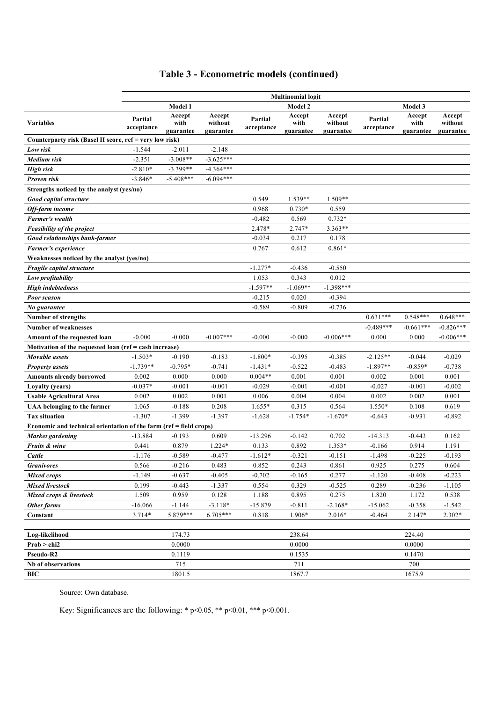## **Table 3 - Econometric models (continued)**

|                                                                    | <b>Multinomial logit</b> |                             |                                |                       |                             |                                |                       |                             |                                |  |
|--------------------------------------------------------------------|--------------------------|-----------------------------|--------------------------------|-----------------------|-----------------------------|--------------------------------|-----------------------|-----------------------------|--------------------------------|--|
|                                                                    | Model 1                  |                             |                                |                       | Model 2                     |                                | Model 3               |                             |                                |  |
| <b>Variables</b>                                                   | Partial<br>acceptance    | Accept<br>with<br>guarantee | Accept<br>without<br>guarantee | Partial<br>acceptance | Accept<br>with<br>guarantee | Accept<br>without<br>guarantee | Partial<br>acceptance | Accept<br>with<br>guarantee | Accept<br>without<br>guarantee |  |
| Counterparty risk (Basel II score, ref = very low risk)            |                          |                             |                                |                       |                             |                                |                       |                             |                                |  |
| Low risk                                                           | $-1.544$                 | $-2.011$                    | $-2.148$                       |                       |                             |                                |                       |                             |                                |  |
| <b>Medium</b> risk                                                 | $-2.351$                 | $-3.008**$                  | $-3.625***$                    |                       |                             |                                |                       |                             |                                |  |
| <b>High risk</b>                                                   | $-2.810*$                | $-3.399**$                  | $-4.364***$                    |                       |                             |                                |                       |                             |                                |  |
| Proven risk                                                        | $-3.846*$                | $-5.408***$                 | $-6.094***$                    |                       |                             |                                |                       |                             |                                |  |
| Strengths noticed by the analyst (yes/no)                          |                          |                             |                                |                       |                             |                                |                       |                             |                                |  |
| Good capital structure                                             |                          |                             |                                | 0.549                 | $1.539**$                   | $1.509**$                      |                       |                             |                                |  |
| Off-farm income                                                    |                          |                             |                                | 0.968                 | $0.730*$                    | 0.559                          |                       |                             |                                |  |
| <b>Farmer's wealth</b>                                             |                          |                             |                                | $-0.482$              | 0.569                       | $0.732*$                       |                       |                             |                                |  |
| Feasibility of the project                                         |                          |                             |                                | 2.478*                | 2.747*                      | 3.363**                        |                       |                             |                                |  |
| <b>Good relationships bank-farmer</b>                              |                          |                             |                                | $-0.034$              | 0.217                       | 0.178                          |                       |                             |                                |  |
| Farmer's experience                                                |                          |                             |                                | 0.767                 | 0.612                       | $0.861*$                       |                       |                             |                                |  |
| Weaknesses noticed by the analyst (yes/no)                         |                          |                             |                                |                       |                             |                                |                       |                             |                                |  |
| <i>Fragile capital structure</i>                                   |                          |                             |                                | $-1.277*$             | $-0.436$                    | $-0.550$                       |                       |                             |                                |  |
| Low profitability                                                  |                          |                             |                                | 1.053                 | 0.343                       | 0.012                          |                       |                             |                                |  |
| <b>High indebtedness</b>                                           |                          |                             |                                | $-1.597**$            | $-1.069**$                  | $-1.398***$                    |                       |                             |                                |  |
| Poor season                                                        |                          |                             |                                | $-0.215$              | 0.020                       | $-0.394$                       |                       |                             |                                |  |
| No guarantee                                                       |                          |                             |                                | $-0.589$              | $-0.809$                    | $-0.736$                       |                       |                             |                                |  |
| <b>Number of strengths</b>                                         |                          |                             |                                |                       |                             |                                | $0.631***$            | $0.548***$                  | $0.648***$                     |  |
| <b>Number of weaknesses</b>                                        |                          |                             |                                |                       |                             |                                | $-0.489***$           | $-0.661***$                 | $-0.826***$                    |  |
| Amount of the requested loan                                       | $-0.000$                 | $-0.000$                    | $-0.007***$                    | $-0.000$              | $-0.000$                    | $-0.006***$                    | 0.000                 | 0.000                       | $-0.006***$                    |  |
| Motivation of the requested loan (ref = cash increase)             |                          |                             |                                |                       |                             |                                |                       |                             |                                |  |
| Movable assets                                                     | $-1.503*$                | $-0.190$                    | $-0.183$                       | $-1.800*$             | $-0.395$                    | $-0.385$                       | $-2.125**$            | $-0.044$                    | $-0.029$                       |  |
| <b>Property assets</b>                                             | $-1.739**$               | $-0.795*$                   | $-0.741$                       | $-1.431*$             | $-0.522$                    | $-0.483$                       | $-1.897**$            | $-0.859*$                   | $-0.738$                       |  |
| Amounts already borrowed                                           | 0.002                    | 0.000                       | 0.000                          | $0.004**$             | 0.001                       | 0.001                          | 0.002                 | 0.001                       | 0.001                          |  |
| Loyalty (years)                                                    | $-0.037*$                | $-0.001$                    | $-0.001$                       | $-0.029$              | $-0.001$                    | $-0.001$                       | $-0.027$              | $-0.001$                    | $-0.002$                       |  |
| <b>Usable Agricultural Area</b>                                    | 0.002                    | 0.002                       | 0.001                          | 0.006                 | 0.004                       | 0.004                          | 0.002                 | 0.002                       | 0.001                          |  |
| <b>UAA</b> belonging to the farmer                                 | 1.065                    | $-0.188$                    | 0.208                          | $1.655*$              | 0.315                       | 0.564                          | 1.550*                | 0.108                       | 0.619                          |  |
| <b>Tax situation</b>                                               | $-1.307$                 | $-1.399$                    | $-1.397$                       | $-1.628$              | $-1.754*$                   | $-1.670*$                      | $-0.643$              | $-0.931$                    | $-0.892$                       |  |
| Economic and technical orientation of the farm (ref = field crops) |                          |                             |                                |                       |                             |                                |                       |                             |                                |  |
| Market gardening                                                   | $-13.884$                | $-0.193$                    | 0.609                          | $-13.296$             | $-0.142$                    | 0.702                          | $-14.313$             | $-0.443$                    | 0.162                          |  |
| Fruits & wine                                                      | 0.441                    | 0.879                       | $1.224*$                       | 0.133                 | 0.892                       | $1.353*$                       | $-0.166$              | 0.914                       | 1.191                          |  |
| Cattle                                                             | $-1.176$                 | $-0.589$                    | $-0.477$                       | $-1.612*$             | $-0.321$                    | $-0.151$                       | $-1.498$              | $-0.225$                    | $-0.193$                       |  |
| <b>Granivores</b>                                                  | 0.566                    | $-0.216$                    | 0.483                          | 0.852                 | 0.243                       | 0.861                          | 0.925                 | 0.275                       | 0.604                          |  |
| <b>Mixed crops</b>                                                 | $-1.149$                 | $-0.637$                    | $-0.405$                       | $-0.702$              | $-0.165$                    | 0.277                          | $-1.120$              | $-0.408$                    | $-0.223$                       |  |
| <b>Mixed livestock</b>                                             | 0.199                    | $-0.443$                    | $-1.337$                       | 0.554                 | 0.329                       | $-0.525$                       | 0.289                 | $-0.236$                    | $-1.105$                       |  |
| Mixed crops & livestock                                            | 1.509                    | 0.959                       | 0.128                          | 1.188                 | 0.895                       | 0.275                          | 1.820                 | 1.172                       | 0.538                          |  |
| Other farms                                                        | $-16.066$                | $-1.144$                    | $-3.118*$                      | $-15.879$             | $-0.811$                    | $-2.168*$                      | $-15.062$             | $-0.358$                    | $-1.542$                       |  |
| Constant                                                           | 3.714*                   | 5.879***                    | $6.705***$                     | 0.818                 | 1.906*                      | $2.016*$                       | $-0.464$              | 2.147*                      | $2.302*$                       |  |
|                                                                    |                          |                             |                                |                       |                             |                                |                       |                             |                                |  |
| Log-likelihood                                                     |                          | 174.73                      |                                |                       | 238.64                      |                                |                       | 224.40                      |                                |  |
| Prob > chi2                                                        |                          | 0.0000                      |                                |                       | 0.0000                      |                                |                       | 0.0000                      |                                |  |
| Pseudo-R2                                                          |                          | 0.1119                      |                                |                       | 0.1535                      |                                |                       | 0.1470                      |                                |  |
| Nb of observations                                                 |                          | 715                         |                                |                       | 711                         |                                |                       | 700                         |                                |  |
| $\mathbf{BIC}$                                                     |                          | 1801.5                      |                                |                       | 1867.7                      |                                |                       | 1675.9                      |                                |  |

Source: Own database.

Key: Significances are the following: \* p<0.05, \*\* p<0.01, \*\*\* p<0.001.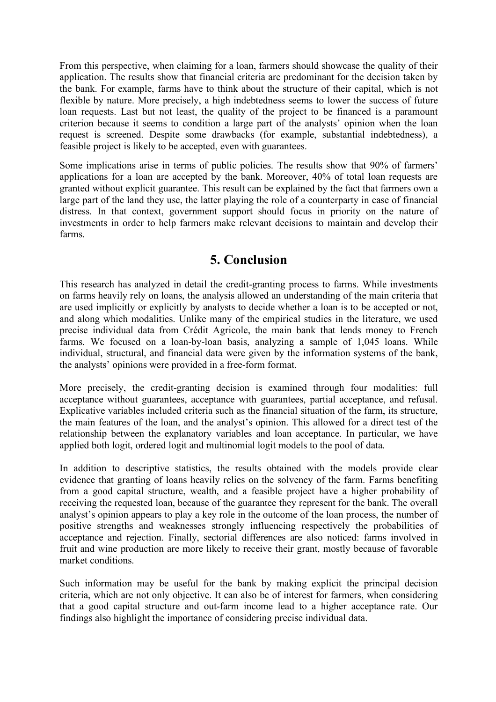From this perspective, when claiming for a loan, farmers should showcase the quality of their application. The results show that financial criteria are predominant for the decision taken by the bank. For example, farms have to think about the structure of their capital, which is not flexible by nature. More precisely, a high indebtedness seems to lower the success of future loan requests. Last but not least, the quality of the project to be financed is a paramount criterion because it seems to condition a large part of the analysts' opinion when the loan request is screened. Despite some drawbacks (for example, substantial indebtedness), a feasible project is likely to be accepted, even with guarantees.

Some implications arise in terms of public policies. The results show that 90% of farmers' applications for a loan are accepted by the bank. Moreover, 40% of total loan requests are granted without explicit guarantee. This result can be explained by the fact that farmers own a large part of the land they use, the latter playing the role of a counterparty in case of financial distress. In that context, government support should focus in priority on the nature of investments in order to help farmers make relevant decisions to maintain and develop their farms.

## **5. Conclusion**

This research has analyzed in detail the credit-granting process to farms. While investments on farms heavily rely on loans, the analysis allowed an understanding of the main criteria that are used implicitly or explicitly by analysts to decide whether a loan is to be accepted or not, and along which modalities. Unlike many of the empirical studies in the literature, we used precise individual data from Crédit Agricole, the main bank that lends money to French farms. We focused on a loan-by-loan basis, analyzing a sample of 1,045 loans. While individual, structural, and financial data were given by the information systems of the bank, the analysts' opinions were provided in a free-form format.

More precisely, the credit-granting decision is examined through four modalities: full acceptance without guarantees, acceptance with guarantees, partial acceptance, and refusal. Explicative variables included criteria such as the financial situation of the farm, its structure, the main features of the loan, and the analyst's opinion. This allowed for a direct test of the relationship between the explanatory variables and loan acceptance. In particular, we have applied both logit, ordered logit and multinomial logit models to the pool of data.

In addition to descriptive statistics, the results obtained with the models provide clear evidence that granting of loans heavily relies on the solvency of the farm. Farms benefiting from a good capital structure, wealth, and a feasible project have a higher probability of receiving the requested loan, because of the guarantee they represent for the bank. The overall analyst's opinion appears to play a key role in the outcome of the loan process, the number of positive strengths and weaknesses strongly influencing respectively the probabilities of acceptance and rejection. Finally, sectorial differences are also noticed: farms involved in fruit and wine production are more likely to receive their grant, mostly because of favorable market conditions.

Such information may be useful for the bank by making explicit the principal decision criteria, which are not only objective. It can also be of interest for farmers, when considering that a good capital structure and out-farm income lead to a higher acceptance rate. Our findings also highlight the importance of considering precise individual data.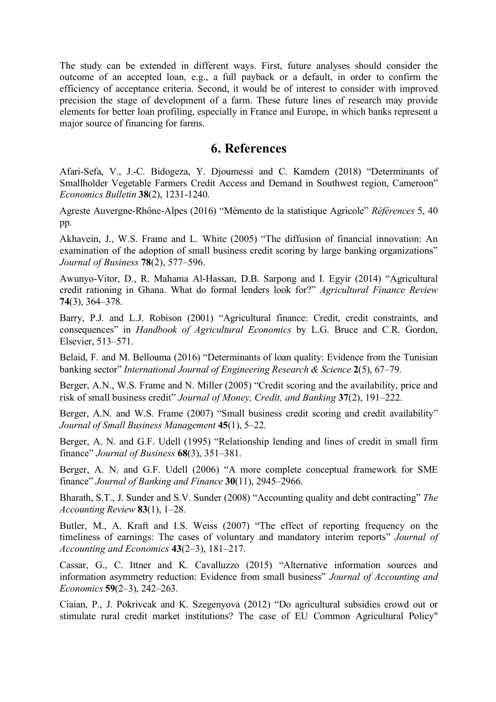The study can be extended in different ways. First, future analyses should consider the outcome of an accepted loan, e.g., a full payback or a default, in order to confirm the efficiency of acceptance criteria. Second, it would be of interest to consider with improved precision the stage of development of a farm. These future lines of research may provide elements for better loan profiling, especially in France and Europe, in which banks represent a major source of financing for farms.

### **6. References**

Afari-Sefa, V., J.-C. Bidogeza, Y. Djoumessi and C. Kamdem (2018) "Determinants of Smallholder Vegetable Farmers Credit Access and Demand in Southwest region, Cameroon" *Economics Bulletin* **38**(2), 1231-1240.

Agreste Auvergne-Rhône-Alpes (2016) "Mémento de la statistique Agricole" *Références* 5, 40 pp.

Akhavein, J., W.S. Frame and L. White (2005) "The diffusion of financial innovation: An examination of the adoption of small business credit scoring by large banking organizations" *Journal of Business* **78**(2), 577–596.

Awunyo-Vitor, D., R. Mahama Al-Hassan, D.B. Sarpong and I. Egyir (2014) "Agricultural credit rationing in Ghana. What do formal lenders look for?" *Agricultural Finance Review* **74**(3), 364–378.

Barry, P.J. and L.J. Robison (2001) "Agricultural finance: Credit, credit constraints, and consequences" in *Handbook of Agricultural Economics* by L.G. Bruce and C.R. Gordon, Elsevier, 513–571.

Belaid, F. and M. Bellouma (2016) "Determinants of loan quality: Evidence from the Tunisian banking sector" *International Journal of Engineering Research & Science* **2**(5), 67–79.

Berger, A.N., W.S. Frame and N. Miller (2005) "Credit scoring and the availability, price and risk of small business credit" *Journal of Money, Credit, and Banking* **37**(2), 191–222.

Berger, A.N. and W.S. Frame (2007) "Small business credit scoring and credit availability" *Journal of Small Business Management* **45**(1), 5–22.

Berger, A. N. and G.F. Udell (1995) "Relationship lending and lines of credit in small firm finance" *Journal of Business* **68**(3), 351–381.

Berger, A. N. and G.F. Udell (2006) "A more complete conceptual framework for SME finance" *Journal of Banking and Finance* **30**(11), 2945–2966.

Bharath, S.T., J. Sunder and S.V. Sunder (2008) "Accounting quality and debt contracting" *The Accounting Review* **83**(1), 1–28.

Butler, M., A. Kraft and I.S. Weiss (2007) "The effect of reporting frequency on the timeliness of earnings: The cases of voluntary and mandatory interim reports" *Journal of Accounting and Economics* **43**(2–3), 181–217.

Cassar, G., C. Ittner and K. Cavalluzzo (2015) "Alternative information sources and information asymmetry reduction: Evidence from small business" *Journal of Accounting and Economics* **59**(2–3), 242–263.

Ciaian, P., J. Pokrivcak and K. Szegenyova (2012) "Do agricultural subsidies crowd out or stimulate rural credit market institutions? The case of EU Common Agricultural Policy"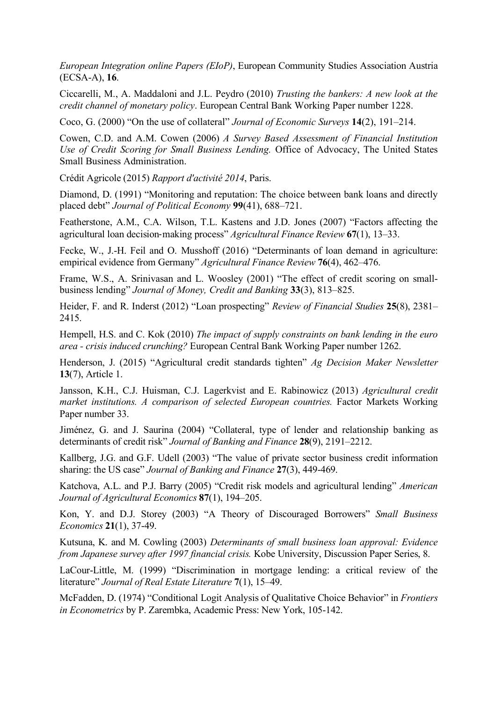*European Integration online Papers (EIoP)*, European Community Studies Association Austria (ECSA-A), **16**.

Ciccarelli, M., A. Maddaloni and J.L. Peydro (2010) *Trusting the bankers: A new look at the credit channel of monetary policy*. European Central Bank Working Paper number 1228.

Coco, G. (2000) "On the use of collateral" *Journal of Economic Surveys* **14**(2), 191–214.

Cowen, C.D. and A.M. Cowen (2006) *A Survey Based Assessment of Financial Institution Use of Credit Scoring for Small Business Lending.* Office of Advocacy, The United States Small Business Administration.

Crédit Agricole (2015) *Rapport d'activité 2014*, Paris.

Diamond, D. (1991) "Monitoring and reputation: The choice between bank loans and directly placed debt" *Journal of Political Economy* **99**(41), 688–721.

Featherstone, A.M., C.A. Wilson, T.L. Kastens and J.D. Jones (2007) "Factors affecting the agricultural loan decision-making process" *Agricultural Finance Review* **67**(1), 13–33.

Fecke, W., J.-H. Feil and O. Musshoff (2016) "Determinants of loan demand in agriculture: empirical evidence from Germany" *Agricultural Finance Review* **76**(4), 462–476.

Frame, W.S., A. Srinivasan and L. Woosley (2001) "The effect of credit scoring on smallbusiness lending" *Journal of Money, Credit and Banking* **33**(3), 813–825.

Heider, F. and R. Inderst (2012) "Loan prospecting" *Review of Financial Studies* **25**(8), 2381– 2415.

Hempell, H.S. and C. Kok (2010) *The impact of supply constraints on bank lending in the euro area - crisis induced crunching?* European Central Bank Working Paper number 1262.

Henderson, J. (2015) "Agricultural credit standards tighten" *Ag Decision Maker Newsletter* **13**(7), Article 1.

Jansson, K.H., C.J. Huisman, C.J. Lagerkvist and E. Rabinowicz (2013) *Agricultural credit market institutions. A comparison of selected European countries.* Factor Markets Working Paper number 33.

Jiménez, G. and J. Saurina (2004) "Collateral, type of lender and relationship banking as determinants of credit risk" *Journal of Banking and Finance* **28**(9), 2191–2212.

Kallberg, J.G. and G.F. Udell (2003) "The value of private sector business credit information sharing: the US case" *Journal of Banking and Finance* **27**(3), 449-469.

Katchova, A.L. and P.J. Barry (2005) "Credit risk models and agricultural lending" *American Journal of Agricultural Economics* **87**(1), 194–205.

Kon, Y. and D.J. Storey (2003) "A Theory of Discouraged Borrowers" *Small Business Economics* **21**(1), 37-49.

Kutsuna, K. and M. Cowling (2003) *Determinants of small business loan approval: Evidence from Japanese survey after 1997 financial crisis.* Kobe University, Discussion Paper Series, 8.

LaCour-Little, M. (1999) "Discrimination in mortgage lending: a critical review of the literature" *Journal of Real Estate Literature* **7**(1), 15–49.

McFadden, D. (1974) "Conditional Logit Analysis of Qualitative Choice Behavior" in *Frontiers in Econometrics* by P. Zarembka, Academic Press: New York, 105-142.